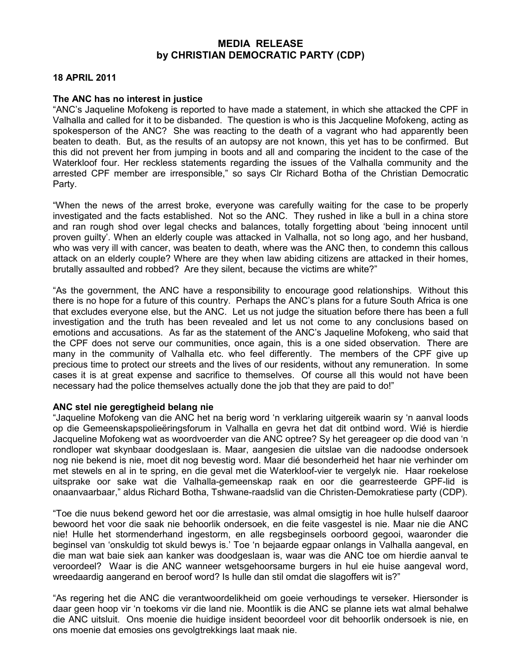## MEDIA RELEASE by CHRISTIAN DEMOCRATIC PARTY (CDP)

## 18 APRIL 2011

## The ANC has no interest in justice

"ANC's Jaqueline Mofokeng is reported to have made a statement, in which she attacked the CPF in Valhalla and called for it to be disbanded. The question is who is this Jacqueline Mofokeng, acting as spokesperson of the ANC? She was reacting to the death of a vagrant who had apparently been beaten to death. But, as the results of an autopsy are not known, this yet has to be confirmed. But this did not prevent her from jumping in boots and all and comparing the incident to the case of the Waterkloof four. Her reckless statements regarding the issues of the Valhalla community and the arrested CPF member are irresponsible," so says Clr Richard Botha of the Christian Democratic Party.

"When the news of the arrest broke, everyone was carefully waiting for the case to be properly investigated and the facts established. Not so the ANC. They rushed in like a bull in a china store and ran rough shod over legal checks and balances, totally forgetting about 'being innocent until proven guilty'. When an elderly couple was attacked in Valhalla, not so long ago, and her husband, who was very ill with cancer, was beaten to death, where was the ANC then, to condemn this callous attack on an elderly couple? Where are they when law abiding citizens are attacked in their homes, brutally assaulted and robbed? Are they silent, because the victims are white?"

"As the government, the ANC have a responsibility to encourage good relationships. Without this there is no hope for a future of this country. Perhaps the ANC's plans for a future South Africa is one that excludes everyone else, but the ANC. Let us not judge the situation before there has been a full investigation and the truth has been revealed and let us not come to any conclusions based on emotions and accusations. As far as the statement of the ANC's Jaqueline Mofokeng, who said that the CPF does not serve our communities, once again, this is a one sided observation. There are many in the community of Valhalla etc. who feel differently. The members of the CPF give up precious time to protect our streets and the lives of our residents, without any remuneration. In some cases it is at great expense and sacrifice to themselves. Of course all this would not have been necessary had the police themselves actually done the job that they are paid to do!"

## ANC stel nie geregtigheid belang nie

"Jaqueline Mofokeng van die ANC het na berig word 'n verklaring uitgereik waarin sy 'n aanval loods op die Gemeenskapspolieëringsforum in Valhalla en gevra het dat dit ontbind word. Wié is hierdie Jacqueline Mofokeng wat as woordvoerder van die ANC optree? Sy het gereageer op die dood van 'n rondloper wat skynbaar doodgeslaan is. Maar, aangesien die uitslae van die nadoodse ondersoek nog nie bekend is nie, moet dit nog bevestig word. Maar dié besonderheid het haar nie verhinder om met stewels en al in te spring, en die geval met die Waterkloof-vier te vergelyk nie. Haar roekelose uitsprake oor sake wat die Valhalla-gemeenskap raak en oor die gearresteerde GPF-lid is onaanvaarbaar," aldus Richard Botha, Tshwane-raadslid van die Christen-Demokratiese party (CDP).

"Toe die nuus bekend geword het oor die arrestasie, was almal omsigtig in hoe hulle hulself daaroor bewoord het voor die saak nie behoorlik ondersoek, en die feite vasgestel is nie. Maar nie die ANC nie! Hulle het stormenderhand ingestorm, en alle regsbeginsels oorboord gegooi, waaronder die beginsel van 'onskuldig tot skuld bewys is.' Toe 'n bejaarde egpaar onlangs in Valhalla aangeval, en die man wat baie siek aan kanker was doodgeslaan is, waar was die ANC toe om hierdie aanval te veroordeel? Waar is die ANC wanneer wetsgehoorsame burgers in hul eie huise aangeval word, wreedaardig aangerand en beroof word? Is hulle dan stil omdat die slagoffers wit is?"

"As regering het die ANC die verantwoordelikheid om goeie verhoudings te verseker. Hiersonder is daar geen hoop vir 'n toekoms vir die land nie. Moontlik is die ANC se planne iets wat almal behalwe die ANC uitsluit. Ons moenie die huidige insident beoordeel voor dit behoorlik ondersoek is nie, en ons moenie dat emosies ons gevolgtrekkings laat maak nie.